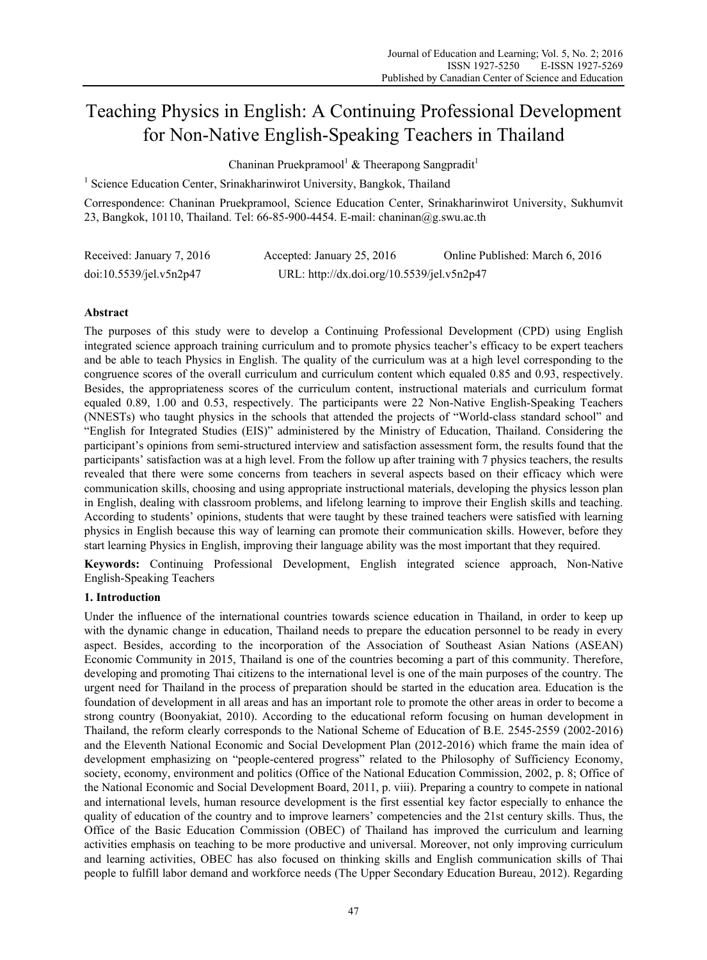# Teaching Physics in English: A Continuing Professional Development for Non-Native English-Speaking Teachers in Thailand

Chaninan Pruekpramool<sup>1</sup> & Theerapong Sangpradit<sup>1</sup>

<sup>1</sup> Science Education Center, Srinakharinwirot University, Bangkok, Thailand

Correspondence: Chaninan Pruekpramool, Science Education Center, Srinakharinwirot University, Sukhumvit 23, Bangkok, 10110, Thailand. Tel: 66-85-900-4454. E-mail: chaninan@g.swu.ac.th

| Received: January 7, 2016 | Accepted: January 25, 2016                 | Online Published: March 6, 2016 |
|---------------------------|--------------------------------------------|---------------------------------|
| doi:10.5539/jel.v5n2p47   | URL: http://dx.doi.org/10.5539/jel.v5n2p47 |                                 |

# **Abstract**

The purposes of this study were to develop a Continuing Professional Development (CPD) using English integrated science approach training curriculum and to promote physics teacher's efficacy to be expert teachers and be able to teach Physics in English. The quality of the curriculum was at a high level corresponding to the congruence scores of the overall curriculum and curriculum content which equaled 0.85 and 0.93, respectively. Besides, the appropriateness scores of the curriculum content, instructional materials and curriculum format equaled 0.89, 1.00 and 0.53, respectively. The participants were 22 Non-Native English-Speaking Teachers (NNESTs) who taught physics in the schools that attended the projects of "World-class standard school" and "English for Integrated Studies (EIS)" administered by the Ministry of Education, Thailand. Considering the participant's opinions from semi-structured interview and satisfaction assessment form, the results found that the participants' satisfaction was at a high level. From the follow up after training with 7 physics teachers, the results revealed that there were some concerns from teachers in several aspects based on their efficacy which were communication skills, choosing and using appropriate instructional materials, developing the physics lesson plan in English, dealing with classroom problems, and lifelong learning to improve their English skills and teaching. According to students' opinions, students that were taught by these trained teachers were satisfied with learning physics in English because this way of learning can promote their communication skills. However, before they start learning Physics in English, improving their language ability was the most important that they required.

**Keywords:** Continuing Professional Development, English integrated science approach, Non-Native English-Speaking Teachers

# **1. Introduction**

Under the influence of the international countries towards science education in Thailand, in order to keep up with the dynamic change in education, Thailand needs to prepare the education personnel to be ready in every aspect. Besides, according to the incorporation of the Association of Southeast Asian Nations (ASEAN) Economic Community in 2015, Thailand is one of the countries becoming a part of this community. Therefore, developing and promoting Thai citizens to the international level is one of the main purposes of the country. The urgent need for Thailand in the process of preparation should be started in the education area. Education is the foundation of development in all areas and has an important role to promote the other areas in order to become a strong country (Boonyakiat, 2010). According to the educational reform focusing on human development in Thailand, the reform clearly corresponds to the National Scheme of Education of B.E. 2545-2559 (2002-2016) and the Eleventh National Economic and Social Development Plan (2012-2016) which frame the main idea of development emphasizing on "people-centered progress" related to the Philosophy of Sufficiency Economy, society, economy, environment and politics (Office of the National Education Commission, 2002, p. 8; Office of the National Economic and Social Development Board, 2011, p. viii). Preparing a country to compete in national and international levels, human resource development is the first essential key factor especially to enhance the quality of education of the country and to improve learners' competencies and the 21st century skills. Thus, the Office of the Basic Education Commission (OBEC) of Thailand has improved the curriculum and learning activities emphasis on teaching to be more productive and universal. Moreover, not only improving curriculum and learning activities, OBEC has also focused on thinking skills and English communication skills of Thai people to fulfill labor demand and workforce needs (The Upper Secondary Education Bureau, 2012). Regarding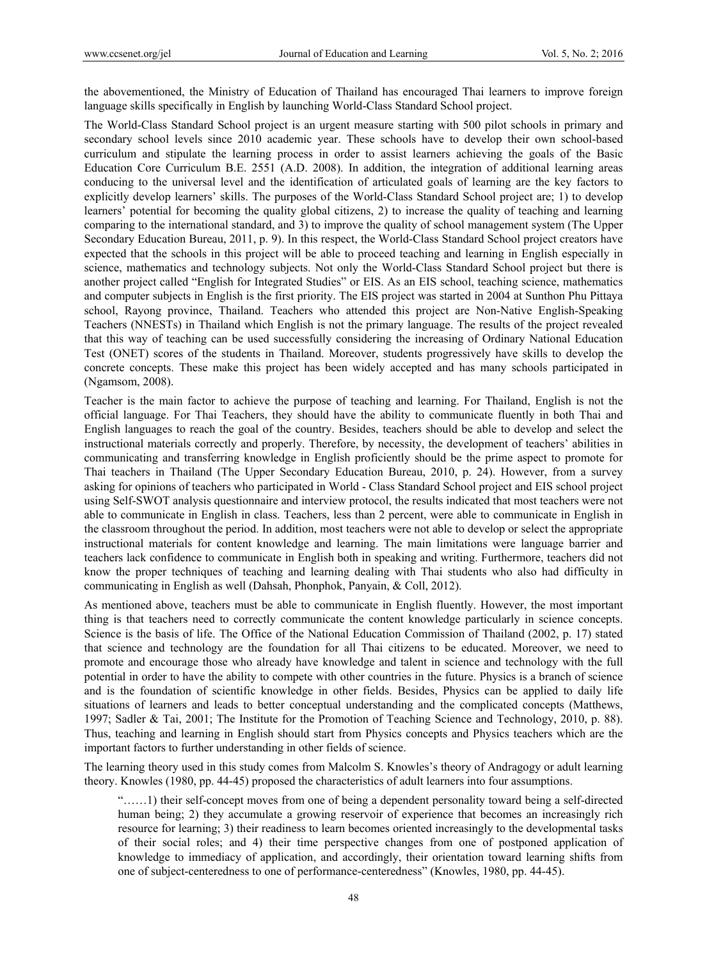the abovementioned, the Ministry of Education of Thailand has encouraged Thai learners to improve foreign language skills specifically in English by launching World-Class Standard School project.

The World-Class Standard School project is an urgent measure starting with 500 pilot schools in primary and secondary school levels since 2010 academic year. These schools have to develop their own school-based curriculum and stipulate the learning process in order to assist learners achieving the goals of the Basic Education Core Curriculum B.E. 2551 (A.D. 2008). In addition, the integration of additional learning areas conducing to the universal level and the identification of articulated goals of learning are the key factors to explicitly develop learners' skills. The purposes of the World-Class Standard School project are; 1) to develop learners' potential for becoming the quality global citizens, 2) to increase the quality of teaching and learning comparing to the international standard, and 3) to improve the quality of school management system (The Upper Secondary Education Bureau, 2011, p. 9). In this respect, the World-Class Standard School project creators have expected that the schools in this project will be able to proceed teaching and learning in English especially in science, mathematics and technology subjects. Not only the World-Class Standard School project but there is another project called "English for Integrated Studies" or EIS. As an EIS school, teaching science, mathematics and computer subjects in English is the first priority. The EIS project was started in 2004 at Sunthon Phu Pittaya school, Rayong province, Thailand. Teachers who attended this project are Non-Native English-Speaking Teachers (NNESTs) in Thailand which English is not the primary language. The results of the project revealed that this way of teaching can be used successfully considering the increasing of Ordinary National Education Test (ONET) scores of the students in Thailand. Moreover, students progressively have skills to develop the concrete concepts. These make this project has been widely accepted and has many schools participated in (Ngamsom, 2008).

Teacher is the main factor to achieve the purpose of teaching and learning. For Thailand, English is not the official language. For Thai Teachers, they should have the ability to communicate fluently in both Thai and English languages to reach the goal of the country. Besides, teachers should be able to develop and select the instructional materials correctly and properly. Therefore, by necessity, the development of teachers' abilities in communicating and transferring knowledge in English proficiently should be the prime aspect to promote for Thai teachers in Thailand (The Upper Secondary Education Bureau, 2010, p. 24). However, from a survey asking for opinions of teachers who participated in World - Class Standard School project and EIS school project using Self-SWOT analysis questionnaire and interview protocol, the results indicated that most teachers were not able to communicate in English in class. Teachers, less than 2 percent, were able to communicate in English in the classroom throughout the period. In addition, most teachers were not able to develop or select the appropriate instructional materials for content knowledge and learning. The main limitations were language barrier and teachers lack confidence to communicate in English both in speaking and writing. Furthermore, teachers did not know the proper techniques of teaching and learning dealing with Thai students who also had difficulty in communicating in English as well (Dahsah, Phonphok, Panyain, & Coll, 2012).

As mentioned above, teachers must be able to communicate in English fluently. However, the most important thing is that teachers need to correctly communicate the content knowledge particularly in science concepts. Science is the basis of life. The Office of the National Education Commission of Thailand (2002, p. 17) stated that science and technology are the foundation for all Thai citizens to be educated. Moreover, we need to promote and encourage those who already have knowledge and talent in science and technology with the full potential in order to have the ability to compete with other countries in the future. Physics is a branch of science and is the foundation of scientific knowledge in other fields. Besides, Physics can be applied to daily life situations of learners and leads to better conceptual understanding and the complicated concepts (Matthews, 1997; Sadler & Tai, 2001; The Institute for the Promotion of Teaching Science and Technology, 2010, p. 88). Thus, teaching and learning in English should start from Physics concepts and Physics teachers which are the important factors to further understanding in other fields of science.

The learning theory used in this study comes from Malcolm S. Knowles's theory of Andragogy or adult learning theory. Knowles (1980, pp. 44-45) proposed the characteristics of adult learners into four assumptions.

"……1) their self-concept moves from one of being a dependent personality toward being a self-directed human being; 2) they accumulate a growing reservoir of experience that becomes an increasingly rich resource for learning; 3) their readiness to learn becomes oriented increasingly to the developmental tasks of their social roles; and 4) their time perspective changes from one of postponed application of knowledge to immediacy of application, and accordingly, their orientation toward learning shifts from one of subject-centeredness to one of performance-centeredness" (Knowles, 1980, pp. 44-45).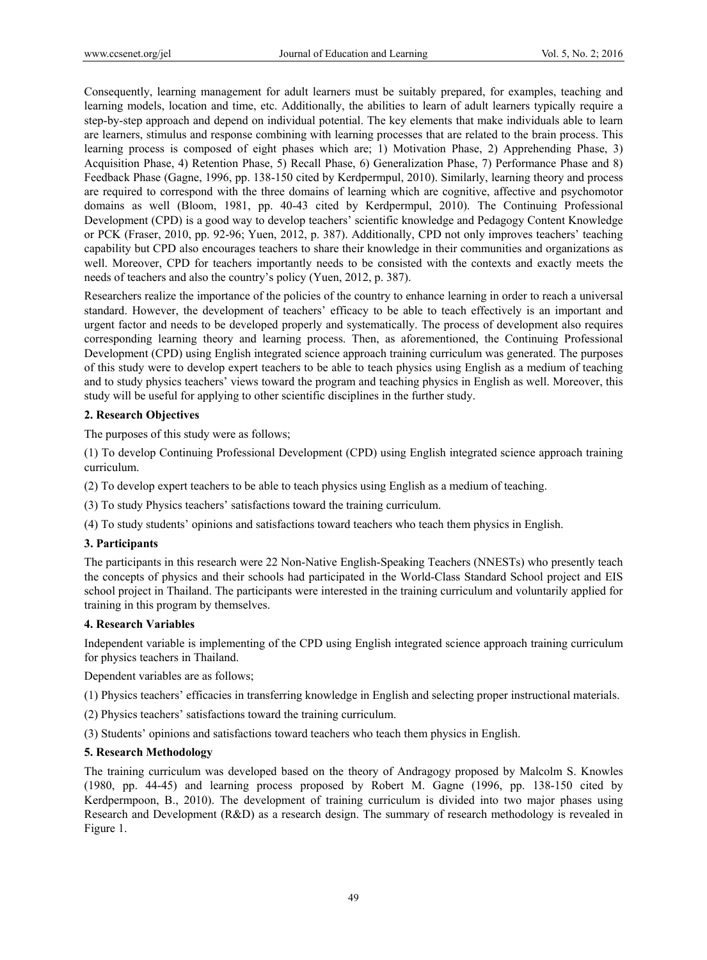Consequently, learning management for adult learners must be suitably prepared, for examples, teaching and learning models, location and time, etc. Additionally, the abilities to learn of adult learners typically require a step-by-step approach and depend on individual potential. The key elements that make individuals able to learn are learners, stimulus and response combining with learning processes that are related to the brain process. This learning process is composed of eight phases which are; 1) Motivation Phase, 2) Apprehending Phase, 3) Acquisition Phase, 4) Retention Phase, 5) Recall Phase, 6) Generalization Phase, 7) Performance Phase and 8) Feedback Phase (Gagne, 1996, pp. 138-150 cited by Kerdpermpul, 2010). Similarly, learning theory and process are required to correspond with the three domains of learning which are cognitive, affective and psychomotor domains as well (Bloom, 1981, pp. 40-43 cited by Kerdpermpul, 2010). The Continuing Professional Development (CPD) is a good way to develop teachers' scientific knowledge and Pedagogy Content Knowledge or PCK (Fraser, 2010, pp. 92-96; Yuen, 2012, p. 387). Additionally, CPD not only improves teachers' teaching capability but CPD also encourages teachers to share their knowledge in their communities and organizations as well. Moreover, CPD for teachers importantly needs to be consisted with the contexts and exactly meets the needs of teachers and also the country's policy (Yuen, 2012, p. 387).

Researchers realize the importance of the policies of the country to enhance learning in order to reach a universal standard. However, the development of teachers' efficacy to be able to teach effectively is an important and urgent factor and needs to be developed properly and systematically. The process of development also requires corresponding learning theory and learning process. Then, as aforementioned, the Continuing Professional Development (CPD) using English integrated science approach training curriculum was generated. The purposes of this study were to develop expert teachers to be able to teach physics using English as a medium of teaching and to study physics teachers' views toward the program and teaching physics in English as well. Moreover, this study will be useful for applying to other scientific disciplines in the further study.

## **2. Research Objectives**

The purposes of this study were as follows;

(1) To develop Continuing Professional Development (CPD) using English integrated science approach training curriculum.

(2) To develop expert teachers to be able to teach physics using English as a medium of teaching.

(3) To study Physics teachers' satisfactions toward the training curriculum.

(4) To study students' opinions and satisfactions toward teachers who teach them physics in English.

## **3. Participants**

The participants in this research were 22 Non-Native English-Speaking Teachers (NNESTs) who presently teach the concepts of physics and their schools had participated in the World-Class Standard School project and EIS school project in Thailand. The participants were interested in the training curriculum and voluntarily applied for training in this program by themselves.

## **4. Research Variables**

Independent variable is implementing of the CPD using English integrated science approach training curriculum for physics teachers in Thailand.

Dependent variables are as follows;

(1) Physics teachers' efficacies in transferring knowledge in English and selecting proper instructional materials.

(2) Physics teachers' satisfactions toward the training curriculum.

(3) Students' opinions and satisfactions toward teachers who teach them physics in English.

## **5. Research Methodology**

The training curriculum was developed based on the theory of Andragogy proposed by Malcolm S. Knowles (1980, pp. 44-45) and learning process proposed by Robert M. Gagne (1996, pp. 138-150 cited by Kerdpermpoon, B., 2010). The development of training curriculum is divided into two major phases using Research and Development (R&D) as a research design. The summary of research methodology is revealed in Figure 1.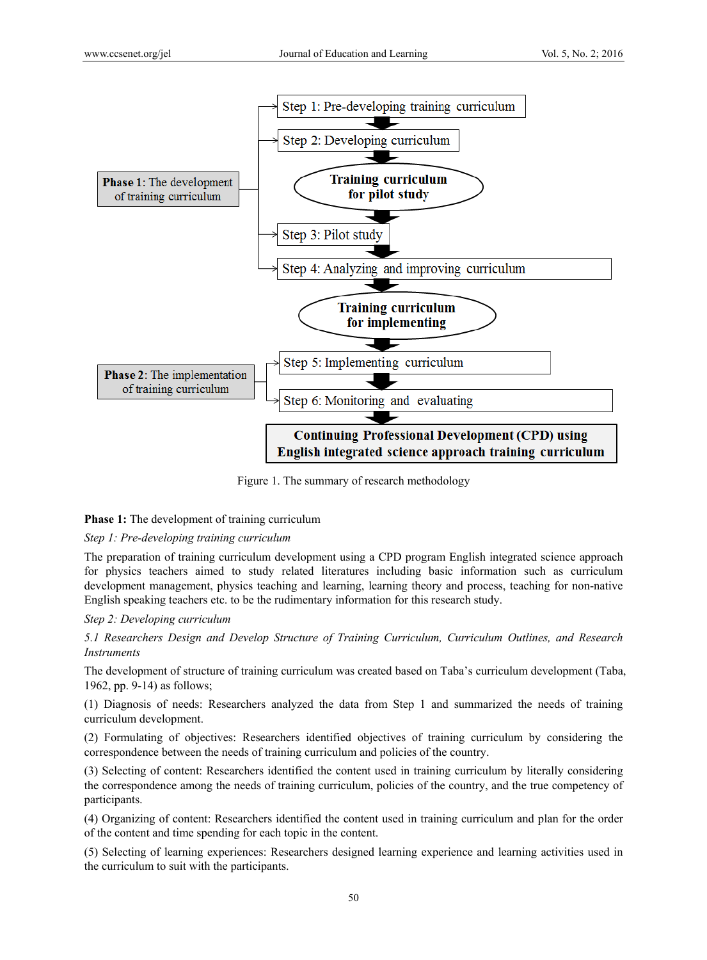

Figure 1. The summary of research methodology

#### **Phase 1:** The development of training curriculum

#### *Step 1: Pre-developing training curriculum*

The preparation of training curriculum development using a CPD program English integrated science approach for physics teachers aimed to study related literatures including basic information such as curriculum development management, physics teaching and learning, learning theory and process, teaching for non-native English speaking teachers etc. to be the rudimentary information for this research study.

## *Step 2: Developing curriculum*

*5.1 Researchers Design and Develop Structure of Training Curriculum, Curriculum Outlines, and Research Instruments* 

The development of structure of training curriculum was created based on Taba's curriculum development (Taba, 1962, pp. 9-14) as follows;

(1) Diagnosis of needs: Researchers analyzed the data from Step 1 and summarized the needs of training curriculum development.

(2) Formulating of objectives: Researchers identified objectives of training curriculum by considering the correspondence between the needs of training curriculum and policies of the country.

(3) Selecting of content: Researchers identified the content used in training curriculum by literally considering the correspondence among the needs of training curriculum, policies of the country, and the true competency of participants.

(4) Organizing of content: Researchers identified the content used in training curriculum and plan for the order of the content and time spending for each topic in the content.

(5) Selecting of learning experiences: Researchers designed learning experience and learning activities used in the curriculum to suit with the participants.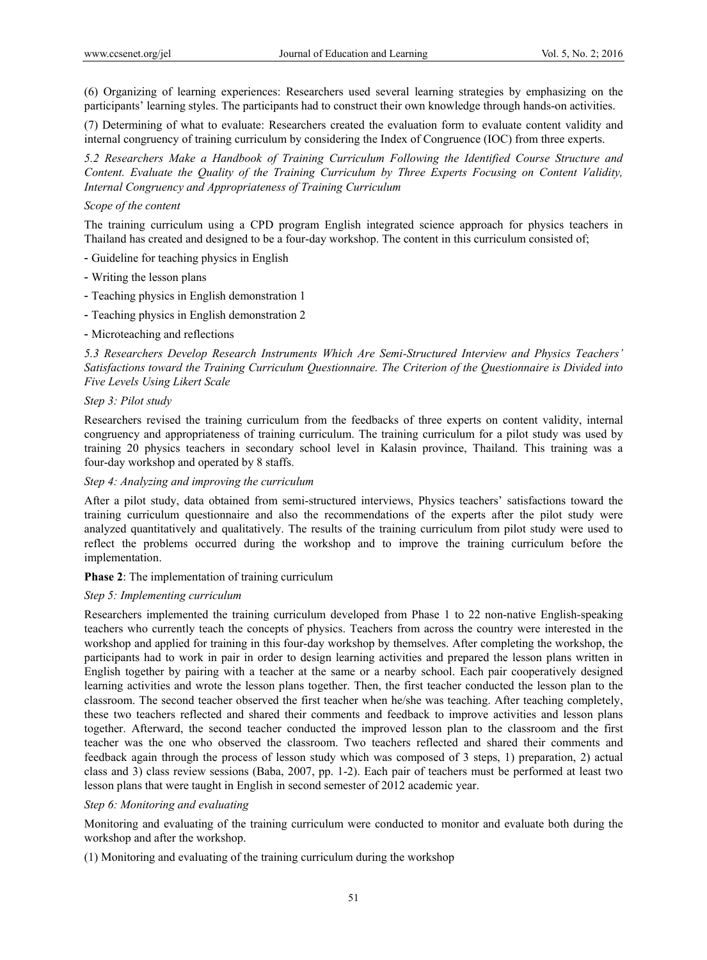(6) Organizing of learning experiences: Researchers used several learning strategies by emphasizing on the participants' learning styles. The participants had to construct their own knowledge through hands-on activities.

(7) Determining of what to evaluate: Researchers created the evaluation form to evaluate content validity and internal congruency of training curriculum by considering the Index of Congruence (IOC) from three experts.

*5.2 Researchers Make a Handbook of Training Curriculum Following the Identified Course Structure and Content. Evaluate the Quality of the Training Curriculum by Three Experts Focusing on Content Validity, Internal Congruency and Appropriateness of Training Curriculum* 

#### *Scope of the content*

The training curriculum using a CPD program English integrated science approach for physics teachers in Thailand has created and designed to be a four-day workshop. The content in this curriculum consisted of;

- Guideline for teaching physics in English
- Writing the lesson plans
- Teaching physics in English demonstration 1
- Teaching physics in English demonstration 2
- Microteaching and reflections

*5.3 Researchers Develop Research Instruments Which Are Semi-Structured Interview and Physics Teachers' Satisfactions toward the Training Curriculum Questionnaire. The Criterion of the Questionnaire is Divided into Five Levels Using Likert Scale* 

# *Step 3: Pilot study*

Researchers revised the training curriculum from the feedbacks of three experts on content validity, internal congruency and appropriateness of training curriculum. The training curriculum for a pilot study was used by training 20 physics teachers in secondary school level in Kalasin province, Thailand. This training was a four-day workshop and operated by 8 staffs.

## *Step 4: Analyzing and improving the curriculum*

After a pilot study, data obtained from semi-structured interviews, Physics teachers' satisfactions toward the training curriculum questionnaire and also the recommendations of the experts after the pilot study were analyzed quantitatively and qualitatively. The results of the training curriculum from pilot study were used to reflect the problems occurred during the workshop and to improve the training curriculum before the implementation.

## **Phase 2**: The implementation of training curriculum

## *Step 5: Implementing curriculum*

Researchers implemented the training curriculum developed from Phase 1 to 22 non-native English-speaking teachers who currently teach the concepts of physics. Teachers from across the country were interested in the workshop and applied for training in this four-day workshop by themselves. After completing the workshop, the participants had to work in pair in order to design learning activities and prepared the lesson plans written in English together by pairing with a teacher at the same or a nearby school. Each pair cooperatively designed learning activities and wrote the lesson plans together. Then, the first teacher conducted the lesson plan to the classroom. The second teacher observed the first teacher when he/she was teaching. After teaching completely, these two teachers reflected and shared their comments and feedback to improve activities and lesson plans together. Afterward, the second teacher conducted the improved lesson plan to the classroom and the first teacher was the one who observed the classroom. Two teachers reflected and shared their comments and feedback again through the process of lesson study which was composed of 3 steps, 1) preparation, 2) actual class and 3) class review sessions (Baba, 2007, pp. 1-2). Each pair of teachers must be performed at least two lesson plans that were taught in English in second semester of 2012 academic year.

## *Step 6: Monitoring and evaluating*

Monitoring and evaluating of the training curriculum were conducted to monitor and evaluate both during the workshop and after the workshop.

(1) Monitoring and evaluating of the training curriculum during the workshop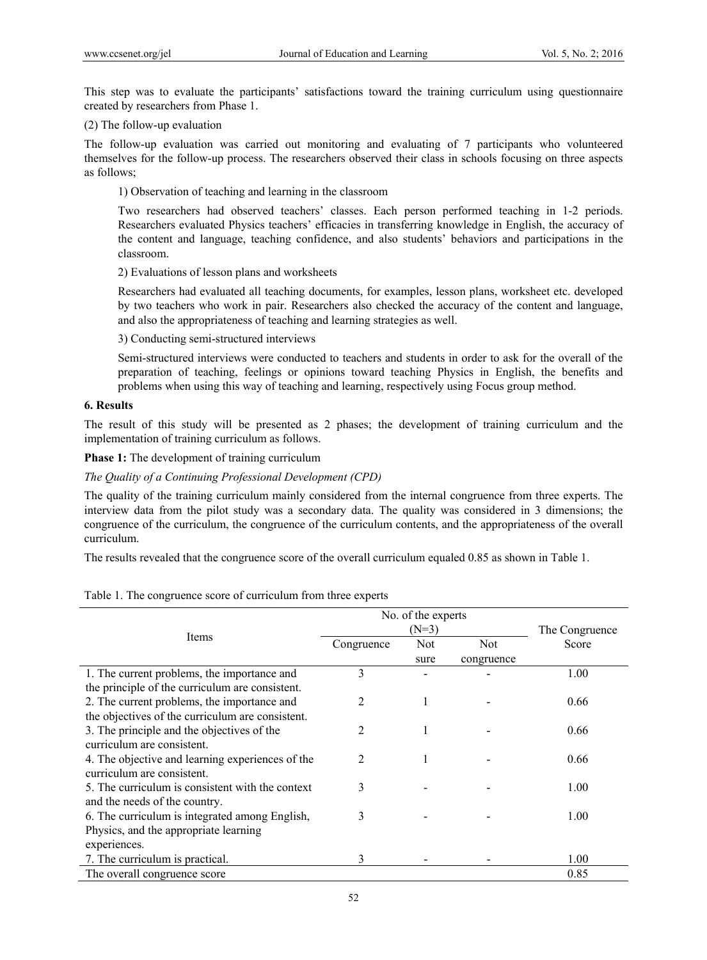This step was to evaluate the participants' satisfactions toward the training curriculum using questionnaire created by researchers from Phase 1.

(2) The follow-up evaluation

The follow-up evaluation was carried out monitoring and evaluating of 7 participants who volunteered themselves for the follow-up process. The researchers observed their class in schools focusing on three aspects as follows;

1) Observation of teaching and learning in the classroom

Two researchers had observed teachers' classes. Each person performed teaching in 1-2 periods. Researchers evaluated Physics teachers' efficacies in transferring knowledge in English, the accuracy of the content and language, teaching confidence, and also students' behaviors and participations in the classroom.

2) Evaluations of lesson plans and worksheets

Researchers had evaluated all teaching documents, for examples, lesson plans, worksheet etc. developed by two teachers who work in pair. Researchers also checked the accuracy of the content and language, and also the appropriateness of teaching and learning strategies as well.

3) Conducting semi-structured interviews

Semi-structured interviews were conducted to teachers and students in order to ask for the overall of the preparation of teaching, feelings or opinions toward teaching Physics in English, the benefits and problems when using this way of teaching and learning, respectively using Focus group method.

#### **6. Results**

The result of this study will be presented as 2 phases; the development of training curriculum and the implementation of training curriculum as follows.

**Phase 1:** The development of training curriculum

*The Quality of a Continuing Professional Development (CPD)* 

The quality of the training curriculum mainly considered from the internal congruence from three experts. The interview data from the pilot study was a secondary data. The quality was considered in 3 dimensions; the congruence of the curriculum, the congruence of the curriculum contents, and the appropriateness of the overall curriculum.

The results revealed that the congruence score of the overall curriculum equaled 0.85 as shown in Table 1.

|                                                  | No. of the experts | The Congruence        |            |       |
|--------------------------------------------------|--------------------|-----------------------|------------|-------|
| Items                                            | Congruence         | $(N=3)$<br><b>Not</b> | Not        | Score |
|                                                  |                    | sure                  | congruence |       |
| 1. The current problems, the importance and      | 3                  |                       |            | 1.00  |
| the principle of the curriculum are consistent.  |                    |                       |            |       |
| 2. The current problems, the importance and      | 2                  |                       |            | 0.66  |
| the objectives of the curriculum are consistent. |                    |                       |            |       |
| 3. The principle and the objectives of the       | 2                  |                       |            | 0.66  |
| curriculum are consistent.                       |                    |                       |            |       |
| 4. The objective and learning experiences of the | 2                  |                       |            | 0.66  |
| curriculum are consistent.                       |                    |                       |            |       |
| 5. The curriculum is consistent with the context | 3                  |                       |            | 1.00  |
| and the needs of the country.                    |                    |                       |            |       |
| 6. The curriculum is integrated among English,   | 3                  |                       |            | 1.00  |
| Physics, and the appropriate learning            |                    |                       |            |       |
| experiences.                                     |                    |                       |            |       |
| 7. The curriculum is practical.                  | 3                  |                       |            | 1.00  |
| The overall congruence score                     |                    |                       |            | 0.85  |

## Table 1. The congruence score of curriculum from three experts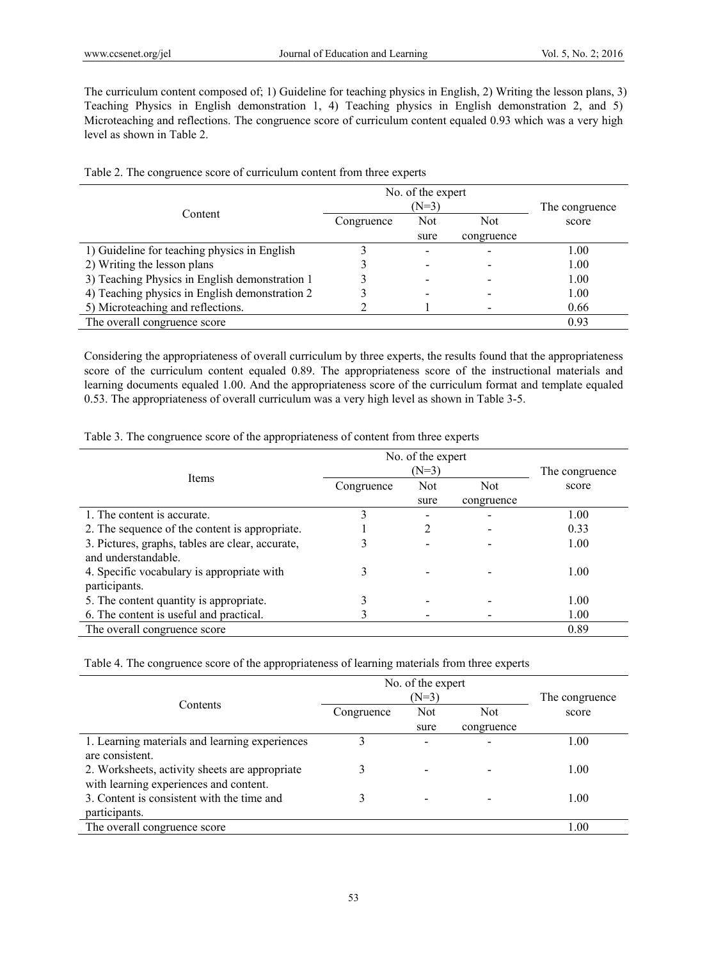The curriculum content composed of; 1) Guideline for teaching physics in English, 2) Writing the lesson plans, 3) Teaching Physics in English demonstration 1, 4) Teaching physics in English demonstration 2, and 5) Microteaching and reflections. The congruence score of curriculum content equaled 0.93 which was a very high level as shown in Table 2.

| Table 2. The congruence score of curriculum content from three experts |  |  |  |  |  |  |  |  |  |  |
|------------------------------------------------------------------------|--|--|--|--|--|--|--|--|--|--|
|------------------------------------------------------------------------|--|--|--|--|--|--|--|--|--|--|

|                                                | No. of the expert |                |            |       |
|------------------------------------------------|-------------------|----------------|------------|-------|
|                                                |                   | The congruence |            |       |
| Content                                        | Congruence        | <b>Not</b>     | Not        | score |
|                                                |                   | sure           | congruence |       |
| 1) Guideline for teaching physics in English   |                   |                |            | 1.00  |
| 2) Writing the lesson plans                    |                   |                |            | 1.00  |
| 3) Teaching Physics in English demonstration 1 |                   |                |            | 1.00  |
| 4) Teaching physics in English demonstration 2 |                   |                |            | 1.00  |
| 5) Microteaching and reflections.              |                   |                |            | 0.66  |
| The overall congruence score                   |                   |                |            | 0.93  |

Considering the appropriateness of overall curriculum by three experts, the results found that the appropriateness score of the curriculum content equaled 0.89. The appropriateness score of the instructional materials and learning documents equaled 1.00. And the appropriateness score of the curriculum format and template equaled 0.53. The appropriateness of overall curriculum was a very high level as shown in Table 3-5.

Table 3. The congruence score of the appropriateness of content from three experts

|                                                  | No. of the expert |                |            |       |
|--------------------------------------------------|-------------------|----------------|------------|-------|
| Items                                            |                   | The congruence |            |       |
|                                                  | Congruence        | <b>Not</b>     | Not        | score |
|                                                  |                   | sure           | congruence |       |
| 1. The content is accurate.                      | 3                 |                |            | 1.00  |
| 2. The sequence of the content is appropriate.   |                   |                |            | 0.33  |
| 3. Pictures, graphs, tables are clear, accurate, | 3                 |                |            | 1.00  |
| and understandable.                              |                   |                |            |       |
| 4. Specific vocabulary is appropriate with       |                   |                |            | 1.00  |
| participants.                                    |                   |                |            |       |
| 5. The content quantity is appropriate.          |                   |                |            | 1.00  |
| 6. The content is useful and practical.          |                   |                |            | 1.00  |
| The overall congruence score                     |                   |                |            | 0.89  |

Table 4. The congruence score of the appropriateness of learning materials from three experts

|                                                                                      | No. of the expert | The congruence     |                          |       |
|--------------------------------------------------------------------------------------|-------------------|--------------------|--------------------------|-------|
| Contents                                                                             | Congruence        | <b>Not</b><br>sure | <b>Not</b><br>congruence | score |
| 1. Learning materials and learning experiences<br>are consistent.                    |                   |                    |                          | 1.00  |
| 2. Worksheets, activity sheets are appropriate                                       |                   |                    |                          | 1.00  |
| with learning experiences and content.<br>3. Content is consistent with the time and |                   |                    |                          | 1.00  |
| participants.                                                                        |                   |                    |                          |       |
| The overall congruence score                                                         |                   |                    |                          | 1.00  |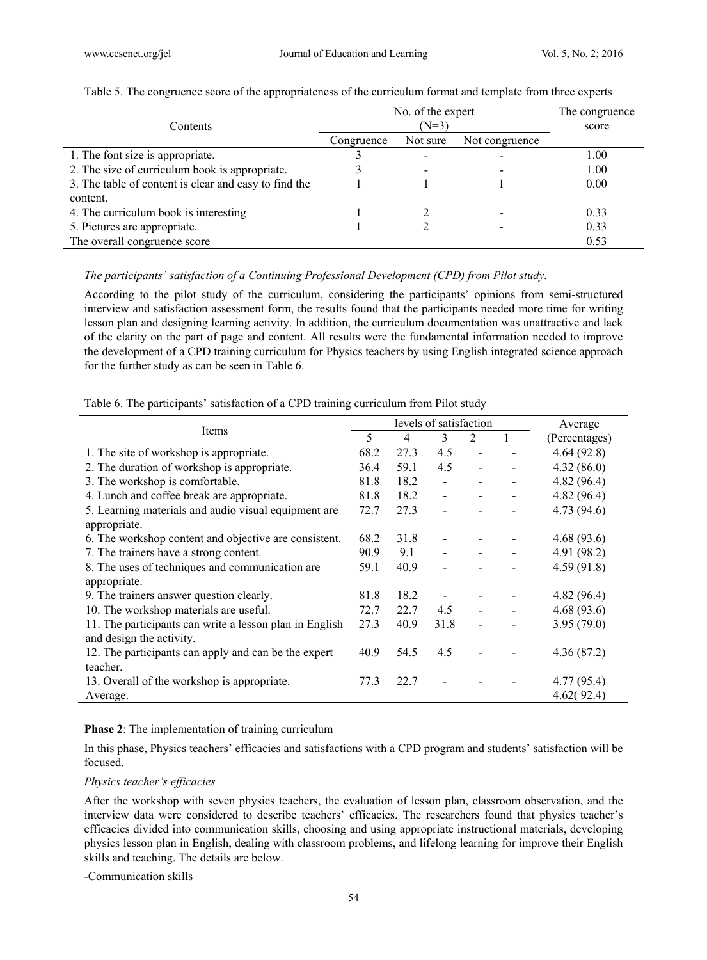| Contents                                              | No. of the expert                        | The congruence<br>score |  |      |  |  |
|-------------------------------------------------------|------------------------------------------|-------------------------|--|------|--|--|
|                                                       | Not sure<br>Not congruence<br>Congruence |                         |  |      |  |  |
| 1. The font size is appropriate.                      |                                          |                         |  | 1.00 |  |  |
| 2. The size of curriculum book is appropriate.        |                                          |                         |  | 1.00 |  |  |
| 3. The table of content is clear and easy to find the |                                          |                         |  | 0.00 |  |  |
| content.                                              |                                          |                         |  |      |  |  |
| 4. The curriculum book is interesting                 |                                          |                         |  | 0.33 |  |  |
| 5. Pictures are appropriate.                          |                                          |                         |  | 0.33 |  |  |
| The overall congruence score                          |                                          |                         |  | 0.53 |  |  |

## Table 5. The congruence score of the appropriateness of the curriculum format and template from three experts

# *The participants' satisfaction of a Continuing Professional Development (CPD) from Pilot study.*

According to the pilot study of the curriculum, considering the participants' opinions from semi-structured interview and satisfaction assessment form, the results found that the participants needed more time for writing lesson plan and designing learning activity. In addition, the curriculum documentation was unattractive and lack of the clarity on the part of page and content. All results were the fundamental information needed to improve the development of a CPD training curriculum for Physics teachers by using English integrated science approach for the further study as can be seen in Table 6.

## Table 6. The participants' satisfaction of a CPD training curriculum from Pilot study

| Items                                                   |      | levels of satisfaction | Average                  |                              |              |               |
|---------------------------------------------------------|------|------------------------|--------------------------|------------------------------|--------------|---------------|
|                                                         | 5    | $\overline{4}$         | 3                        | 2                            | $\mathbf{I}$ | (Percentages) |
| 1. The site of workshop is appropriate.                 | 68.2 | 27.3                   | 4.5                      | $\qquad \qquad \blacksquare$ |              | 4.64(92.8)    |
| 2. The duration of workshop is appropriate.             | 36.4 | 59.1                   | 4.5                      | $\overline{\phantom{a}}$     |              | 4.32(86.0)    |
| 3. The workshop is comfortable.                         | 81.8 | 18.2                   | $\overline{a}$           |                              |              | 4.82(96.4)    |
| 4. Lunch and coffee break are appropriate.              | 81.8 | 18.2                   | $\overline{\phantom{a}}$ | $\qquad \qquad \blacksquare$ |              | 4.82(96.4)    |
| 5. Learning materials and audio visual equipment are    | 72.7 | 27.3                   |                          |                              |              | 4.73(94.6)    |
| appropriate.                                            |      |                        |                          |                              |              |               |
| 6. The workshop content and objective are consistent.   | 68.2 | 31.8                   |                          |                              |              | 4.68(93.6)    |
| 7. The trainers have a strong content.                  | 90.9 | 9.1                    |                          |                              |              | 4.91(98.2)    |
| 8. The uses of techniques and communication are         | 59.1 | 40.9                   |                          |                              |              | 4.59(91.8)    |
| appropriate.                                            |      |                        |                          |                              |              |               |
| 9. The trainers answer question clearly.                | 81.8 | 18.2                   |                          |                              |              | 4.82(96.4)    |
| 10. The workshop materials are useful.                  | 72.7 | 22.7                   | 4.5                      | $\overline{\phantom{0}}$     |              | 4.68(93.6)    |
| 11. The participants can write a lesson plan in English | 27.3 | 40.9                   | 31.8                     | -                            |              | 3.95(79.0)    |
| and design the activity.                                |      |                        |                          |                              |              |               |
| 12. The participants can apply and can be the expert    | 40.9 | 54.5                   | 4.5                      |                              |              | 4.36(87.2)    |
| teacher.                                                |      |                        |                          |                              |              |               |
| 13. Overall of the workshop is appropriate.             | 77.3 | 22.7                   |                          |                              |              | 4.77 (95.4)   |
| Average.                                                |      |                        |                          |                              |              | 4.62(92.4)    |

## **Phase 2**: The implementation of training curriculum

In this phase, Physics teachers' efficacies and satisfactions with a CPD program and students' satisfaction will be focused.

## *Physics teacher's efficacies*

After the workshop with seven physics teachers, the evaluation of lesson plan, classroom observation, and the interview data were considered to describe teachers' efficacies. The researchers found that physics teacher's efficacies divided into communication skills, choosing and using appropriate instructional materials, developing physics lesson plan in English, dealing with classroom problems, and lifelong learning for improve their English skills and teaching. The details are below.

-Communication skills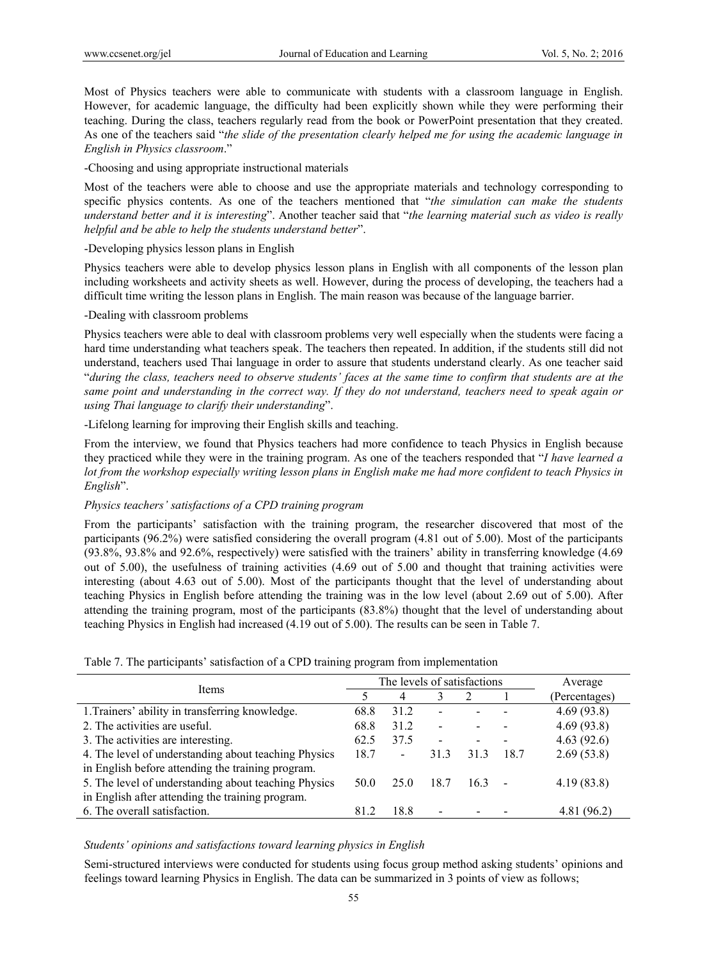Most of Physics teachers were able to communicate with students with a classroom language in English. However, for academic language, the difficulty had been explicitly shown while they were performing their teaching. During the class, teachers regularly read from the book or PowerPoint presentation that they created. As one of the teachers said "*the slide of the presentation clearly helped me for using the academic language in English in Physics classroom*."

-Choosing and using appropriate instructional materials

Most of the teachers were able to choose and use the appropriate materials and technology corresponding to specific physics contents. As one of the teachers mentioned that "*the simulation can make the students understand better and it is interesting*". Another teacher said that "*the learning material such as video is really helpful and be able to help the students understand better*".

-Developing physics lesson plans in English

Physics teachers were able to develop physics lesson plans in English with all components of the lesson plan including worksheets and activity sheets as well. However, during the process of developing, the teachers had a difficult time writing the lesson plans in English. The main reason was because of the language barrier.

-Dealing with classroom problems

Physics teachers were able to deal with classroom problems very well especially when the students were facing a hard time understanding what teachers speak. The teachers then repeated. In addition, if the students still did not understand, teachers used Thai language in order to assure that students understand clearly. As one teacher said "*during the class, teachers need to observe students' faces at the same time to confirm that students are at the same point and understanding in the correct way. If they do not understand, teachers need to speak again or using Thai language to clarify their understanding*".

-Lifelong learning for improving their English skills and teaching.

From the interview, we found that Physics teachers had more confidence to teach Physics in English because they practiced while they were in the training program. As one of the teachers responded that "*I have learned a lot from the workshop especially writing lesson plans in English make me had more confident to teach Physics in English*".

## *Physics teachers' satisfactions of a CPD training program*

From the participants' satisfaction with the training program, the researcher discovered that most of the participants (96.2%) were satisfied considering the overall program (4.81 out of 5.00). Most of the participants (93.8%, 93.8% and 92.6%, respectively) were satisfied with the trainers' ability in transferring knowledge (4.69 out of 5.00), the usefulness of training activities (4.69 out of 5.00 and thought that training activities were interesting (about 4.63 out of 5.00). Most of the participants thought that the level of understanding about teaching Physics in English before attending the training was in the low level (about 2.69 out of 5.00). After attending the training program, most of the participants (83.8%) thought that the level of understanding about teaching Physics in English had increased (4.19 out of 5.00). The results can be seen in Table 7.

| Table 7. The participants' satisfaction of a CPD training program from implementation |  |  |  |
|---------------------------------------------------------------------------------------|--|--|--|
|---------------------------------------------------------------------------------------|--|--|--|

| Items                                                |      | The levels of satisfactions | Average |     |      |               |
|------------------------------------------------------|------|-----------------------------|---------|-----|------|---------------|
|                                                      |      | 4                           |         |     |      | (Percentages) |
| 1. Trainers' ability in transferring knowledge.      | 68.8 | 31.2                        | -       |     |      | 4.69(93.8)    |
| 2. The activities are useful.                        | 68.8 | 31.2                        |         |     |      | 4.69(93.8)    |
| 3. The activities are interesting.                   | 62.5 | 37.5                        |         |     |      | 4.63(92.6)    |
| 4. The level of understanding about teaching Physics | 18.7 | -                           | 31.3    | 313 | 18.7 | 2.69(53.8)    |
| in English before attending the training program.    |      |                             |         |     |      |               |
| 5. The level of understanding about teaching Physics | 50.0 | 25.0                        | 18.7    | 163 |      | 4.19(83.8)    |
| in English after attending the training program.     |      |                             |         |     |      |               |
| 6. The overall satisfaction.                         | 812  | 18.8                        |         |     |      | 4.81 (96.2)   |

#### *Students' opinions and satisfactions toward learning physics in English*

Semi-structured interviews were conducted for students using focus group method asking students' opinions and feelings toward learning Physics in English. The data can be summarized in 3 points of view as follows;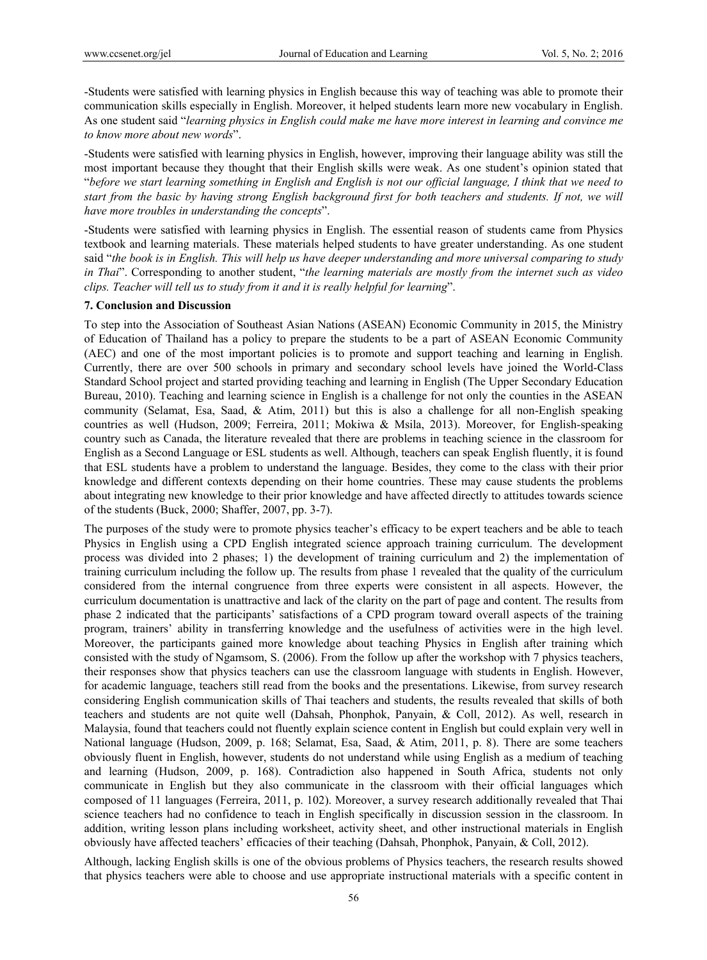-Students were satisfied with learning physics in English because this way of teaching was able to promote their communication skills especially in English. Moreover, it helped students learn more new vocabulary in English. As one student said "*learning physics in English could make me have more interest in learning and convince me to know more about new words*".

-Students were satisfied with learning physics in English, however, improving their language ability was still the most important because they thought that their English skills were weak. As one student's opinion stated that "*before we start learning something in English and English is not our official language, I think that we need to start from the basic by having strong English background first for both teachers and students. If not, we will have more troubles in understanding the concepts*".

-Students were satisfied with learning physics in English. The essential reason of students came from Physics textbook and learning materials. These materials helped students to have greater understanding. As one student said "*the book is in English. This will help us have deeper understanding and more universal comparing to study in Thai*". Corresponding to another student, "*the learning materials are mostly from the internet such as video clips. Teacher will tell us to study from it and it is really helpful for learning*".

#### **7. Conclusion and Discussion**

To step into the Association of Southeast Asian Nations (ASEAN) Economic Community in 2015, the Ministry of Education of Thailand has a policy to prepare the students to be a part of ASEAN Economic Community (AEC) and one of the most important policies is to promote and support teaching and learning in English. Currently, there are over 500 schools in primary and secondary school levels have joined the World-Class Standard School project and started providing teaching and learning in English (The Upper Secondary Education Bureau, 2010). Teaching and learning science in English is a challenge for not only the counties in the ASEAN community (Selamat, Esa, Saad, & Atim, 2011) but this is also a challenge for all non-English speaking countries as well (Hudson, 2009; Ferreira, 2011; Mokiwa & Msila, 2013). Moreover, for English-speaking country such as Canada, the literature revealed that there are problems in teaching science in the classroom for English as a Second Language or ESL students as well. Although, teachers can speak English fluently, it is found that ESL students have a problem to understand the language. Besides, they come to the class with their prior knowledge and different contexts depending on their home countries. These may cause students the problems about integrating new knowledge to their prior knowledge and have affected directly to attitudes towards science of the students (Buck, 2000; Shaffer, 2007, pp. 3-7).

The purposes of the study were to promote physics teacher's efficacy to be expert teachers and be able to teach Physics in English using a CPD English integrated science approach training curriculum. The development process was divided into 2 phases; 1) the development of training curriculum and 2) the implementation of training curriculum including the follow up. The results from phase 1 revealed that the quality of the curriculum considered from the internal congruence from three experts were consistent in all aspects. However, the curriculum documentation is unattractive and lack of the clarity on the part of page and content. The results from phase 2 indicated that the participants' satisfactions of a CPD program toward overall aspects of the training program, trainers' ability in transferring knowledge and the usefulness of activities were in the high level. Moreover, the participants gained more knowledge about teaching Physics in English after training which consisted with the study of Ngamsom, S. (2006). From the follow up after the workshop with 7 physics teachers, their responses show that physics teachers can use the classroom language with students in English. However, for academic language, teachers still read from the books and the presentations. Likewise, from survey research considering English communication skills of Thai teachers and students, the results revealed that skills of both teachers and students are not quite well (Dahsah, Phonphok, Panyain, & Coll, 2012). As well, research in Malaysia, found that teachers could not fluently explain science content in English but could explain very well in National language (Hudson, 2009, p. 168; Selamat, Esa, Saad, & Atim, 2011, p. 8). There are some teachers obviously fluent in English, however, students do not understand while using English as a medium of teaching and learning (Hudson, 2009, p. 168). Contradiction also happened in South Africa, students not only communicate in English but they also communicate in the classroom with their official languages which composed of 11 languages (Ferreira, 2011, p. 102). Moreover, a survey research additionally revealed that Thai science teachers had no confidence to teach in English specifically in discussion session in the classroom. In addition, writing lesson plans including worksheet, activity sheet, and other instructional materials in English obviously have affected teachers' efficacies of their teaching (Dahsah, Phonphok, Panyain, & Coll, 2012).

Although, lacking English skills is one of the obvious problems of Physics teachers, the research results showed that physics teachers were able to choose and use appropriate instructional materials with a specific content in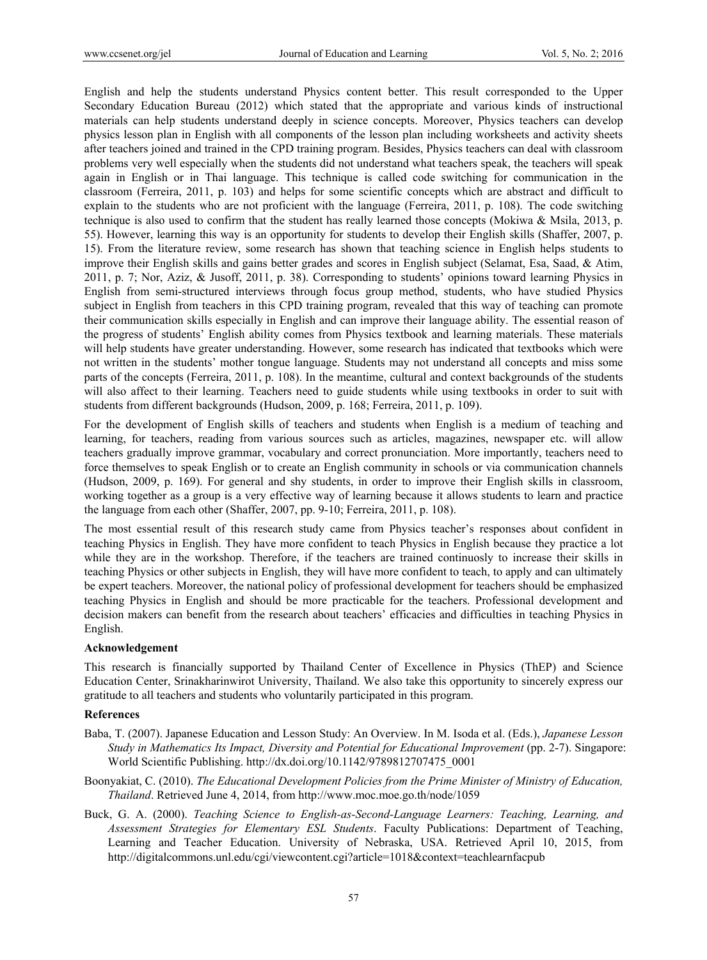English and help the students understand Physics content better. This result corresponded to the Upper Secondary Education Bureau (2012) which stated that the appropriate and various kinds of instructional materials can help students understand deeply in science concepts. Moreover, Physics teachers can develop physics lesson plan in English with all components of the lesson plan including worksheets and activity sheets after teachers joined and trained in the CPD training program. Besides, Physics teachers can deal with classroom problems very well especially when the students did not understand what teachers speak, the teachers will speak again in English or in Thai language. This technique is called code switching for communication in the classroom (Ferreira, 2011, p. 103) and helps for some scientific concepts which are abstract and difficult to explain to the students who are not proficient with the language (Ferreira, 2011, p. 108). The code switching technique is also used to confirm that the student has really learned those concepts (Mokiwa & Msila, 2013, p. 55). However, learning this way is an opportunity for students to develop their English skills (Shaffer, 2007, p. 15). From the literature review, some research has shown that teaching science in English helps students to improve their English skills and gains better grades and scores in English subject (Selamat, Esa, Saad, & Atim, 2011, p. 7; Nor, Aziz, & Jusoff, 2011, p. 38). Corresponding to students' opinions toward learning Physics in English from semi-structured interviews through focus group method, students, who have studied Physics subject in English from teachers in this CPD training program, revealed that this way of teaching can promote their communication skills especially in English and can improve their language ability. The essential reason of the progress of students' English ability comes from Physics textbook and learning materials. These materials will help students have greater understanding. However, some research has indicated that textbooks which were not written in the students' mother tongue language. Students may not understand all concepts and miss some parts of the concepts (Ferreira, 2011, p. 108). In the meantime, cultural and context backgrounds of the students will also affect to their learning. Teachers need to guide students while using textbooks in order to suit with students from different backgrounds (Hudson, 2009, p. 168; Ferreira, 2011, p. 109).

For the development of English skills of teachers and students when English is a medium of teaching and learning, for teachers, reading from various sources such as articles, magazines, newspaper etc. will allow teachers gradually improve grammar, vocabulary and correct pronunciation. More importantly, teachers need to force themselves to speak English or to create an English community in schools or via communication channels (Hudson, 2009, p. 169). For general and shy students, in order to improve their English skills in classroom, working together as a group is a very effective way of learning because it allows students to learn and practice the language from each other (Shaffer, 2007, pp. 9-10; Ferreira, 2011, p. 108).

The most essential result of this research study came from Physics teacher's responses about confident in teaching Physics in English. They have more confident to teach Physics in English because they practice a lot while they are in the workshop. Therefore, if the teachers are trained continuosly to increase their skills in teaching Physics or other subjects in English, they will have more confident to teach, to apply and can ultimately be expert teachers. Moreover, the national policy of professional development for teachers should be emphasized teaching Physics in English and should be more practicable for the teachers. Professional development and decision makers can benefit from the research about teachers' efficacies and difficulties in teaching Physics in English.

## **Acknowledgement**

This research is financially supported by Thailand Center of Excellence in Physics (ThEP) and Science Education Center, Srinakharinwirot University, Thailand. We also take this opportunity to sincerely express our gratitude to all teachers and students who voluntarily participated in this program.

#### **References**

- Baba, T. (2007). Japanese Education and Lesson Study: An Overview. In M. Isoda et al. (Eds.), *Japanese Lesson Study in Mathematics Its Impact, Diversity and Potential for Educational Improvement* (pp. 2-7). Singapore: World Scientific Publishing. http://dx.doi.org/10.1142/9789812707475\_0001
- Boonyakiat, C. (2010). *The Educational Development Policies from the Prime Minister of Ministry of Education, Thailand*. Retrieved June 4, 2014, from http://www.moc.moe.go.th/node/1059
- Buck, G. A. (2000). *Teaching Science to English-as-Second-Language Learners: Teaching, Learning, and Assessment Strategies for Elementary ESL Students*. Faculty Publications: Department of Teaching, Learning and Teacher Education. University of Nebraska, USA. Retrieved April 10, 2015, from http://digitalcommons.unl.edu/cgi/viewcontent.cgi?article=1018&context=teachlearnfacpub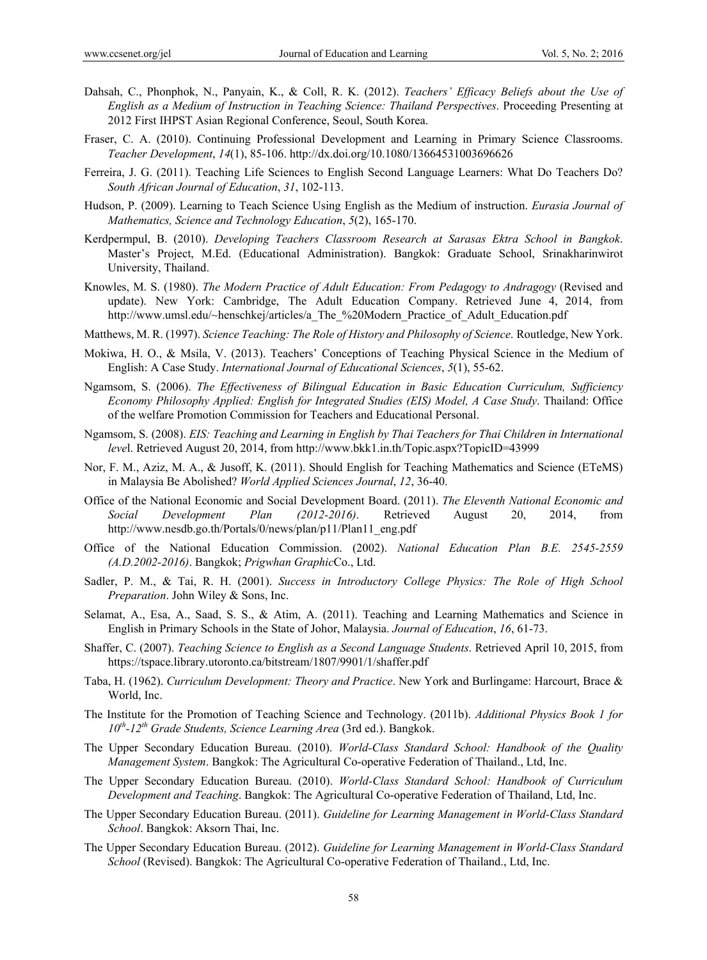- Dahsah, C., Phonphok, N., Panyain, K., & Coll, R. K. (2012). *Teachers' Efficacy Beliefs about the Use of English as a Medium of Instruction in Teaching Science: Thailand Perspectives*. Proceeding Presenting at 2012 First IHPST Asian Regional Conference, Seoul, South Korea.
- Fraser, C. A. (2010). Continuing Professional Development and Learning in Primary Science Classrooms. *Teacher Development*, *14*(1), 85-106. http://dx.doi.org/10.1080/13664531003696626
- Ferreira, J. G. (2011). Teaching Life Sciences to English Second Language Learners: What Do Teachers Do? *South African Journal of Education*, *31*, 102-113.
- Hudson, P. (2009). Learning to Teach Science Using English as the Medium of instruction. *Eurasia Journal of Mathematics, Science and Technology Education*, *5*(2), 165-170.
- Kerdpermpul, B. (2010). *Developing Teachers Classroom Research at Sarasas Ektra School in Bangkok*. Master's Project, M.Ed. (Educational Administration). Bangkok: Graduate School, Srinakharinwirot University, Thailand.
- Knowles, M. S. (1980). *The Modern Practice of Adult Education: From Pedagogy to Andragogy* (Revised and update). New York: Cambridge, The Adult Education Company. Retrieved June 4, 2014, from http://www.umsl.edu/~henschkej/articles/a\_The\_%20Modern\_Practice\_of\_Adult\_Education.pdf
- Matthews, M. R. (1997). *Science Teaching: The Role of History and Philosophy of Science*. Routledge, New York.
- Mokiwa, H. O., & Msila, V. (2013). Teachers' Conceptions of Teaching Physical Science in the Medium of English: A Case Study. *International Journal of Educational Sciences*, *5*(1), 55-62.
- Ngamsom, S. (2006). *The Effectiveness of Bilingual Education in Basic Education Curriculum, Sufficiency Economy Philosophy Applied: English for Integrated Studies (EIS) Model, A Case Study*. Thailand: Office of the welfare Promotion Commission for Teachers and Educational Personal.
- Ngamsom, S. (2008). *EIS: Teaching and Learning in English by Thai Teachers for Thai Children in International leve*l. Retrieved August 20, 2014, from http://www.bkk1.in.th/Topic.aspx?TopicID=43999
- Nor, F. M., Aziz, M. A., & Jusoff, K. (2011). Should English for Teaching Mathematics and Science (ETeMS) in Malaysia Be Abolished? *World Applied Sciences Journal*, *12*, 36-40.
- Office of the National Economic and Social Development Board. (2011). *The Eleventh National Economic and Social Development Plan (2012-2016)*. Retrieved August 20, 2014, from http://www.nesdb.go.th/Portals/0/news/plan/p11/Plan11\_eng.pdf
- Office of the National Education Commission. (2002). *National Education Plan B.E. 2545-2559 (A.D.2002-2016)*. Bangkok; *Prigwhan Graphic*Co., Ltd.
- Sadler, P. M., & Tai, R. H. (2001). *Success in Introductory College Physics: The Role of High School Preparation*. John Wiley & Sons, Inc.
- Selamat, A., Esa, A., Saad, S. S., & Atim, A. (2011). Teaching and Learning Mathematics and Science in English in Primary Schools in the State of Johor, Malaysia. *Journal of Education*, *16*, 61-73.
- Shaffer, C. (2007). *Teaching Science to English as a Second Language Students*. Retrieved April 10, 2015, from https://tspace.library.utoronto.ca/bitstream/1807/9901/1/shaffer.pdf
- Taba, H. (1962). *Curriculum Development: Theory and Practice*. New York and Burlingame: Harcourt, Brace & World, Inc.
- The Institute for the Promotion of Teaching Science and Technology. (2011b). *Additional Physics Book 1 for 10th-12th Grade Students, Science Learning Area* (3rd ed.). Bangkok.
- The Upper Secondary Education Bureau. (2010). *World-Class Standard School: Handbook of the Quality Management System*. Bangkok: The Agricultural Co-operative Federation of Thailand., Ltd, Inc.
- The Upper Secondary Education Bureau. (2010). *World-Class Standard School: Handbook of Curriculum Development and Teaching*. Bangkok: The Agricultural Co-operative Federation of Thailand, Ltd, Inc.
- The Upper Secondary Education Bureau. (2011). *Guideline for Learning Management in World-Class Standard School*. Bangkok: Aksorn Thai, Inc.
- The Upper Secondary Education Bureau. (2012). *Guideline for Learning Management in World-Class Standard School* (Revised). Bangkok: The Agricultural Co-operative Federation of Thailand., Ltd, Inc.